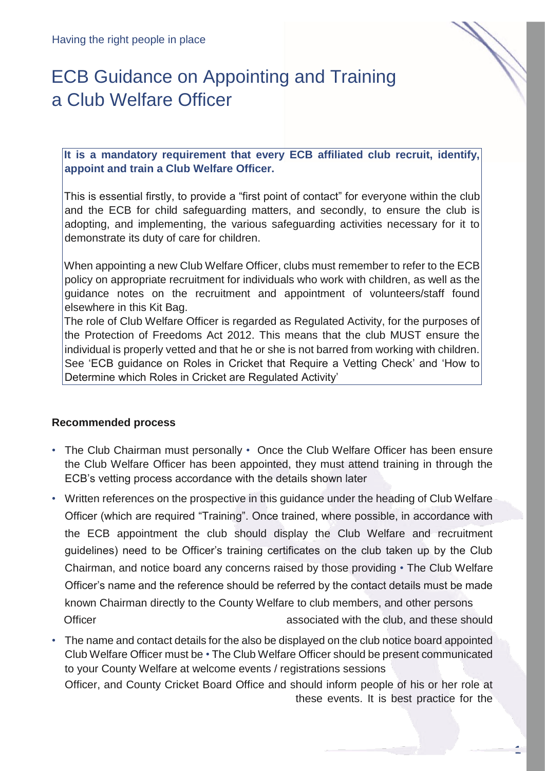# ECB Guidance on Appointing and Training a Club Welfare Officer

**It is a mandatory requirement that every ECB affiliated club recruit, identify, appoint and train a Club Welfare Officer.**

This is essential firstly, to provide a "first point of contact" for everyone within the club and the ECB for child safeguarding matters, and secondly, to ensure the club is adopting, and implementing, the various safeguarding activities necessary for it to demonstrate its duty of care for children.

When appointing a new Club Welfare Officer, clubs must remember to refer to the ECB policy on appropriate recruitment for individuals who work with children, as well as the guidance notes on the recruitment and appointment of volunteers/staff found elsewhere in this Kit Bag.

The role of Club Welfare Officer is regarded as Regulated Activity, for the purposes of the Protection of Freedoms Act 2012. This means that the club MUST ensure the individual is properly vetted and that he or she is not barred from working with children. See 'ECB guidance on Roles in Cricket that Require a Vetting Check' and 'How to Determine which Roles in Cricket are Regulated Activity'

### **Recommended process**

- The Club Chairman must personally Once the Club Welfare Officer has been ensure the Club Welfare Officer has been appointed, they must attend training in through the ECB's vetting process accordance with the details shown later
- Written references on the prospective in this guidance under the heading of Club Welfare Officer (which are required "Training". Once trained, where possible, in accordance with the ECB appointment the club should display the Club Welfare and recruitment guidelines) need to be Officer's training certificates on the club taken up by the Club Chairman, and notice board any concerns raised by those providing • The Club Welfare Officer's name and the reference should be referred by the contact details must be made known Chairman directly to the County Welfare to club members, and other persons Officer **associated with the club, and these should**
- The name and contact details for the also be displayed on the club notice board appointed Club Welfare Officer must be • The Club Welfare Officer should be present communicated to your County Welfare at welcome events / registrations sessions Officer, and County Cricket Board Office and should inform people of his or her role at

these events. It is best practice for the

**1**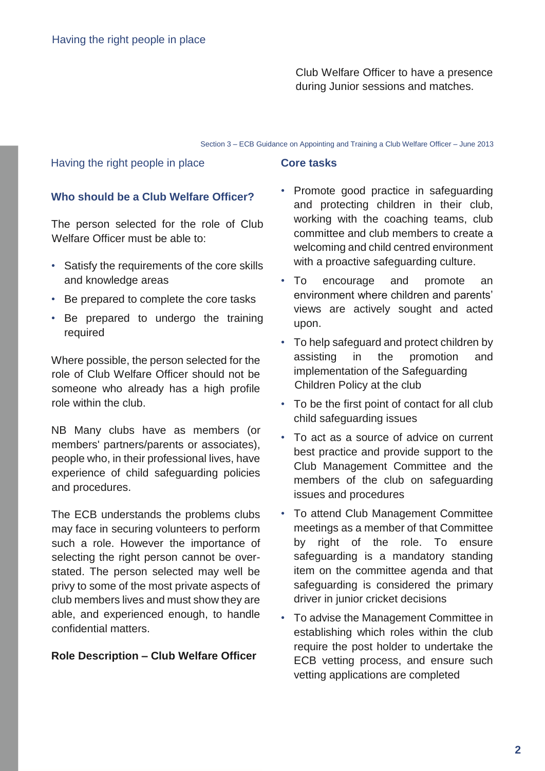Club Welfare Officer to have a presence during Junior sessions and matches.

#### Section 3 – ECB Guidance on Appointing and Training a Club Welfare Officer – June 2013

#### Having the right people in place

## **Core tasks**

#### **Who should be a Club Welfare Officer?**

The person selected for the role of Club Welfare Officer must be able to:

- Satisfy the requirements of the core skills and knowledge areas
- Be prepared to complete the core tasks
- Be prepared to undergo the training required

Where possible, the person selected for the role of Club Welfare Officer should not be someone who already has a high profile role within the club.

NB Many clubs have as members (or members' partners/parents or associates), people who, in their professional lives, have experience of child safeguarding policies and procedures.

The ECB understands the problems clubs may face in securing volunteers to perform such a role. However the importance of selecting the right person cannot be overstated. The person selected may well be privy to some of the most private aspects of club members lives and must show they are able, and experienced enough, to handle confidential matters.

#### **Role Description – Club Welfare Officer**

- Promote good practice in safeguarding and protecting children in their club, working with the coaching teams, club committee and club members to create a welcoming and child centred environment with a proactive safeguarding culture.
- To encourage and promote an environment where children and parents' views are actively sought and acted upon.
- To help safeguard and protect children by assisting in the promotion and implementation of the Safeguarding Children Policy at the club
- To be the first point of contact for all club child safeguarding issues
- To act as a source of advice on current best practice and provide support to the Club Management Committee and the members of the club on safeguarding issues and procedures
- To attend Club Management Committee meetings as a member of that Committee by right of the role. To ensure safeguarding is a mandatory standing item on the committee agenda and that safeguarding is considered the primary driver in junior cricket decisions
- To advise the Management Committee in establishing which roles within the club require the post holder to undertake the ECB vetting process, and ensure such vetting applications are completed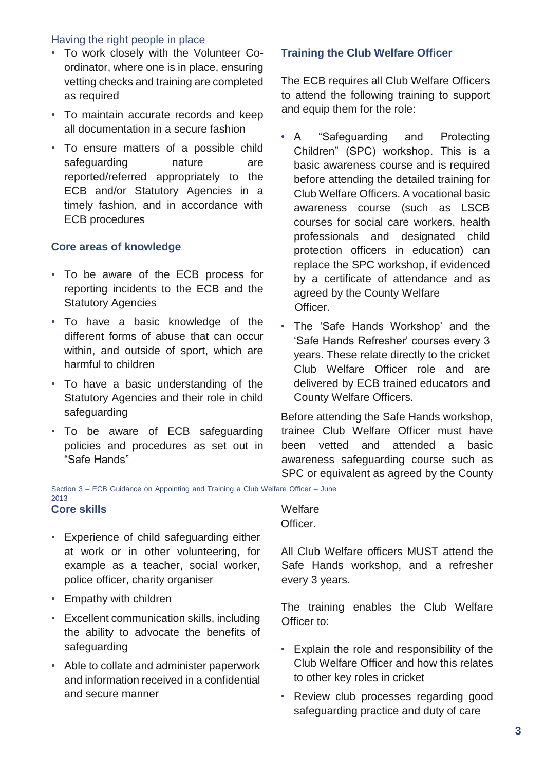#### Having the right people in place

- To work closely with the Volunteer Coordinator, where one is in place, ensuring vetting checks and training are completed as required
- To maintain accurate records and keep all documentation in a secure fashion
- To ensure matters of a possible child safeguarding nature are reported/referred appropriately to the ECB and/or Statutory Agencies in a timely fashion, and in accordance with ECB procedures

#### **Core areas of knowledge**

- To be aware of the ECB process for reporting incidents to the ECB and the Statutory Agencies
- To have a basic knowledge of the different forms of abuse that can occur within, and outside of sport, which are harmful to children
- To have a basic understanding of the Statutory Agencies and their role in child safeguarding
- To be aware of ECB safeguarding policies and procedures as set out in "Safe Hands"

#### **Training the Club Welfare Officer**

The ECB requires all Club Welfare Officers to attend the following training to support and equip them for the role:

- A "Safeguarding and Protecting Children" (SPC) workshop. This is a basic awareness course and is required before attending the detailed training for Club Welfare Officers. A vocational basic awareness course (such as LSCB courses for social care workers, health professionals and designated child protection officers in education) can replace the SPC workshop, if evidenced by a certificate of attendance and as agreed by the County Welfare Officer.
- The 'Safe Hands Workshop' and the 'Safe Hands Refresher' courses every 3 years. These relate directly to the cricket Club Welfare Officer role and are delivered by ECB trained educators and County Welfare Officers.

Before attending the Safe Hands workshop, trainee Club Welfare Officer must have been vetted and attended a basic awareness safeguarding course such as SPC or equivalent as agreed by the County

Section 3 – ECB Guidance on Appointing and Training a Club Welfare Officer – June 2013

#### **Core skills**

- Experience of child safeguarding either at work or in other volunteering, for example as a teacher, social worker, police officer, charity organiser
- Empathy with children
- Excellent communication skills, including the ability to advocate the benefits of safeguarding
- Able to collate and administer paperwork and information received in a confidential and secure manner

**Welfare** Officer.

All Club Welfare officers MUST attend the Safe Hands workshop, and a refresher every 3 years.

The training enables the Club Welfare Officer to:

- Explain the role and responsibility of the Club Welfare Officer and how this relates to other key roles in cricket
- Review club processes regarding good safeguarding practice and duty of care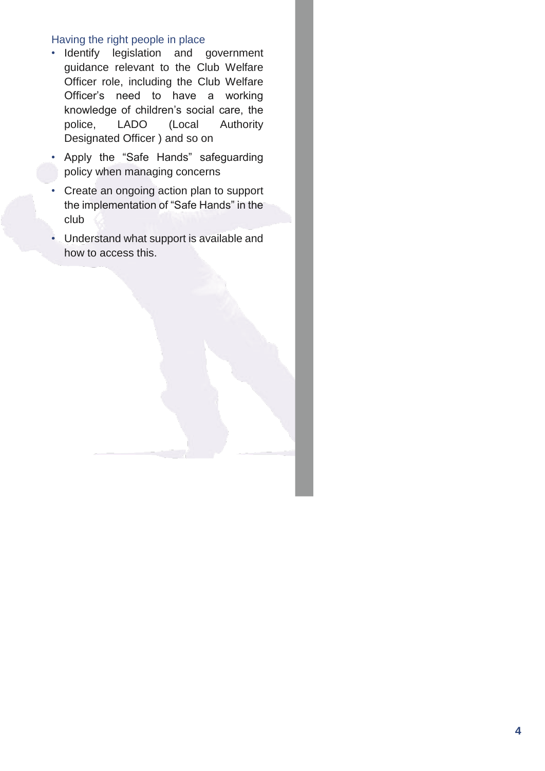#### Having the right people in place

- Identify legislation and government guidance relevant to the Club Welfare Officer role, including the Club Welfare Officer's need to have a working knowledge of children's social care, the police, LADO (Local Authority Designated Officer ) and so on
- Apply the "Safe Hands" safeguarding policy when managing concerns
- Create an ongoing action plan to support the implementation of "Safe Hands" in the club
- Understand what support is available and how to access this.